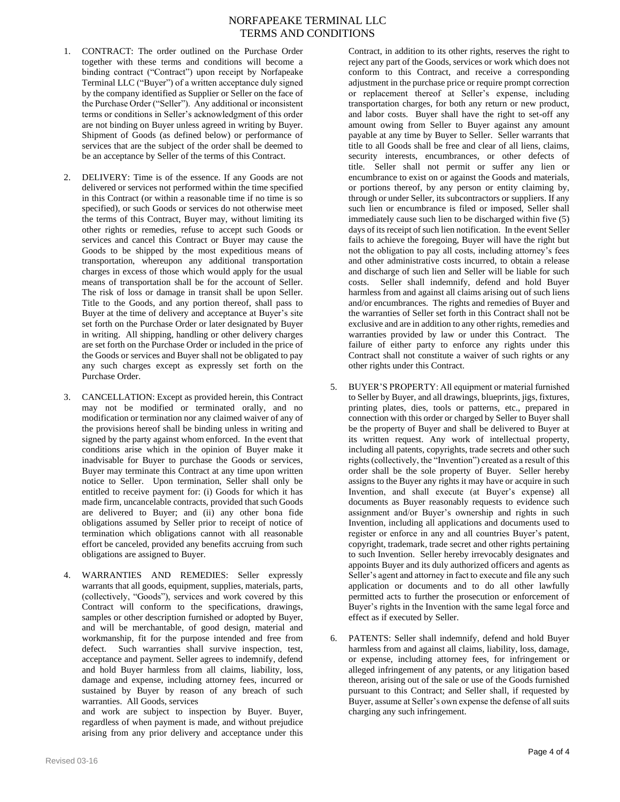- 1. CONTRACT: The order outlined on the Purchase Order together with these terms and conditions will become a binding contract ("Contract") upon receipt by Norfapeake Terminal LLC ("Buyer") of a written acceptance duly signed by the company identified as Supplier or Seller on the face of the Purchase Order ("Seller"). Any additional or inconsistent terms or conditions in Seller's acknowledgment of this order are not binding on Buyer unless agreed in writing by Buyer. Shipment of Goods (as defined below) or performance of services that are the subject of the order shall be deemed to be an acceptance by Seller of the terms of this Contract.
- 2. DELIVERY: Time is of the essence. If any Goods are not delivered or services not performed within the time specified in this Contract (or within a reasonable time if no time is so specified), or such Goods or services do not otherwise meet the terms of this Contract, Buyer may, without limiting its other rights or remedies, refuse to accept such Goods or services and cancel this Contract or Buyer may cause the Goods to be shipped by the most expeditious means of transportation, whereupon any additional transportation charges in excess of those which would apply for the usual means of transportation shall be for the account of Seller. The risk of loss or damage in transit shall be upon Seller. Title to the Goods, and any portion thereof, shall pass to Buyer at the time of delivery and acceptance at Buyer's site set forth on the Purchase Order or later designated by Buyer in writing. All shipping, handling or other delivery charges are set forth on the Purchase Order or included in the price of the Goods or services and Buyer shall not be obligated to pay any such charges except as expressly set forth on the Purchase Order.
- 3. CANCELLATION: Except as provided herein, this Contract may not be modified or terminated orally, and no modification or termination nor any claimed waiver of any of the provisions hereof shall be binding unless in writing and signed by the party against whom enforced. In the event that conditions arise which in the opinion of Buyer make it inadvisable for Buyer to purchase the Goods or services, Buyer may terminate this Contract at any time upon written notice to Seller. Upon termination, Seller shall only be entitled to receive payment for: (i) Goods for which it has made firm, uncancelable contracts, provided that such Goods are delivered to Buyer; and (ii) any other bona fide obligations assumed by Seller prior to receipt of notice of termination which obligations cannot with all reasonable effort be canceled, provided any benefits accruing from such obligations are assigned to Buyer.
- 4. WARRANTIES AND REMEDIES: Seller expressly warrants that all goods, equipment, supplies, materials, parts, (collectively, "Goods"), services and work covered by this Contract will conform to the specifications, drawings, samples or other description furnished or adopted by Buyer, and will be merchantable, of good design, material and workmanship, fit for the purpose intended and free from defect. Such warranties shall survive inspection, test, acceptance and payment. Seller agrees to indemnify, defend and hold Buyer harmless from all claims, liability, loss, damage and expense, including attorney fees, incurred or sustained by Buyer by reason of any breach of such warranties. All Goods, services

and work are subject to inspection by Buyer. Buyer, regardless of when payment is made, and without prejudice arising from any prior delivery and acceptance under this

Contract, in addition to its other rights, reserves the right to reject any part of the Goods, services or work which does not conform to this Contract, and receive a corresponding adjustment in the purchase price or require prompt correction or replacement thereof at Seller's expense, including transportation charges, for both any return or new product, and labor costs. Buyer shall have the right to set-off any amount owing from Seller to Buyer against any amount payable at any time by Buyer to Seller. Seller warrants that title to all Goods shall be free and clear of all liens, claims, security interests, encumbrances, or other defects of title. Seller shall not permit or suffer any lien or encumbrance to exist on or against the Goods and materials, or portions thereof, by any person or entity claiming by, through or under Seller, its subcontractors or suppliers. If any such lien or encumbrance is filed or imposed, Seller shall immediately cause such lien to be discharged within five (5) days of its receipt of such lien notification. In the event Seller fails to achieve the foregoing, Buyer will have the right but not the obligation to pay all costs, including attorney's fees and other administrative costs incurred, to obtain a release and discharge of such lien and Seller will be liable for such costs. Seller shall indemnify, defend and hold Buyer harmless from and against all claims arising out of such liens and/or encumbrances. The rights and remedies of Buyer and the warranties of Seller set forth in this Contract shall not be exclusive and are in addition to any other rights, remedies and warranties provided by law or under this Contract. The failure of either party to enforce any rights under this Contract shall not constitute a waiver of such rights or any other rights under this Contract.

- 5. BUYER'S PROPERTY: All equipment or material furnished to Seller by Buyer, and all drawings, blueprints, jigs, fixtures, printing plates, dies, tools or patterns, etc., prepared in connection with this order or charged by Seller to Buyer shall be the property of Buyer and shall be delivered to Buyer at its written request. Any work of intellectual property, including all patents, copyrights, trade secrets and other such rights (collectively, the "Invention") created as a result of this order shall be the sole property of Buyer. Seller hereby assigns to the Buyer any rights it may have or acquire in such Invention, and shall execute (at Buyer's expense) all documents as Buyer reasonably requests to evidence such assignment and/or Buyer's ownership and rights in such Invention, including all applications and documents used to register or enforce in any and all countries Buyer's patent, copyright, trademark, trade secret and other rights pertaining to such Invention. Seller hereby irrevocably designates and appoints Buyer and its duly authorized officers and agents as Seller's agent and attorney in fact to execute and file any such application or documents and to do all other lawfully permitted acts to further the prosecution or enforcement of Buyer's rights in the Invention with the same legal force and effect as if executed by Seller.
- 6. PATENTS: Seller shall indemnify, defend and hold Buyer harmless from and against all claims, liability, loss, damage, or expense, including attorney fees, for infringement or alleged infringement of any patents, or any litigation based thereon, arising out of the sale or use of the Goods furnished pursuant to this Contract; and Seller shall, if requested by Buyer, assume at Seller's own expense the defense of all suits charging any such infringement.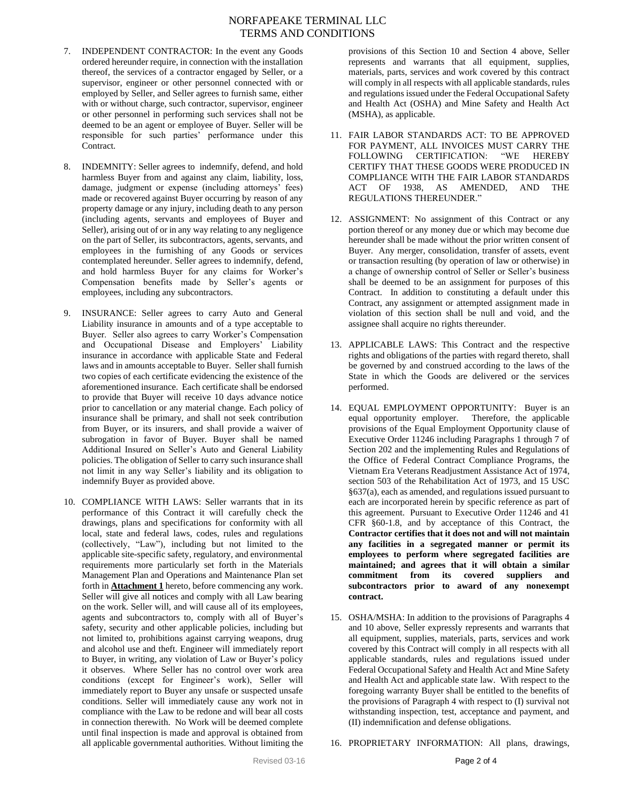- 7. INDEPENDENT CONTRACTOR: In the event any Goods ordered hereunder require, in connection with the installation thereof, the services of a contractor engaged by Seller, or a supervisor, engineer or other personnel connected with or employed by Seller, and Seller agrees to furnish same, either with or without charge, such contractor, supervisor, engineer or other personnel in performing such services shall not be deemed to be an agent or employee of Buyer. Seller will be responsible for such parties' performance under this Contract.
- 8. INDEMNITY: Seller agrees to indemnify, defend, and hold harmless Buyer from and against any claim, liability, loss, damage, judgment or expense (including attorneys' fees) made or recovered against Buyer occurring by reason of any property damage or any injury, including death to any person (including agents, servants and employees of Buyer and Seller), arising out of or in any way relating to any negligence on the part of Seller, its subcontractors, agents, servants, and employees in the furnishing of any Goods or services contemplated hereunder. Seller agrees to indemnify, defend, and hold harmless Buyer for any claims for Worker's Compensation benefits made by Seller's agents or employees, including any subcontractors.
- 9. INSURANCE: Seller agrees to carry Auto and General Liability insurance in amounts and of a type acceptable to Buyer. Seller also agrees to carry Worker's Compensation and Occupational Disease and Employers' Liability insurance in accordance with applicable State and Federal laws and in amounts acceptable to Buyer. Seller shall furnish two copies of each certificate evidencing the existence of the aforementioned insurance. Each certificate shall be endorsed to provide that Buyer will receive 10 days advance notice prior to cancellation or any material change. Each policy of insurance shall be primary, and shall not seek contribution from Buyer, or its insurers, and shall provide a waiver of subrogation in favor of Buyer. Buyer shall be named Additional Insured on Seller's Auto and General Liability policies. The obligation of Seller to carry such insurance shall not limit in any way Seller's liability and its obligation to indemnify Buyer as provided above.
- 10. COMPLIANCE WITH LAWS: Seller warrants that in its performance of this Contract it will carefully check the drawings, plans and specifications for conformity with all local, state and federal laws, codes, rules and regulations (collectively, "Law"), including but not limited to the applicable site-specific safety, regulatory, and environmental requirements more particularly set forth in the Materials Management Plan and Operations and Maintenance Plan set forth in **Attachment 1** hereto, before commencing any work. Seller will give all notices and comply with all Law bearing on the work. Seller will, and will cause all of its employees, agents and subcontractors to, comply with all of Buyer's safety, security and other applicable policies, including but not limited to, prohibitions against carrying weapons, drug and alcohol use and theft. Engineer will immediately report to Buyer, in writing, any violation of Law or Buyer's policy it observes. Where Seller has no control over work area conditions (except for Engineer's work), Seller will immediately report to Buyer any unsafe or suspected unsafe conditions. Seller will immediately cause any work not in compliance with the Law to be redone and will bear all costs in connection therewith. No Work will be deemed complete until final inspection is made and approval is obtained from all applicable governmental authorities. Without limiting the

provisions of this Section 10 and Section 4 above, Seller represents and warrants that all equipment, supplies, materials, parts, services and work covered by this contract will comply in all respects with all applicable standards, rules and regulations issued under the Federal Occupational Safety and Health Act (OSHA) and Mine Safety and Health Act (MSHA), as applicable.

- 11. FAIR LABOR STANDARDS ACT: TO BE APPROVED FOR PAYMENT, ALL INVOICES MUST CARRY THE FOLLOWING CERTIFICATION: "WE HEREBY CERTIFY THAT THESE GOODS WERE PRODUCED IN COMPLIANCE WITH THE FAIR LABOR STANDARDS ACT OF 1938, AS AMENDED, AND THE REGULATIONS THEREUNDER."
- 12. ASSIGNMENT: No assignment of this Contract or any portion thereof or any money due or which may become due hereunder shall be made without the prior written consent of Buyer. Any merger, consolidation, transfer of assets, event or transaction resulting (by operation of law or otherwise) in a change of ownership control of Seller or Seller's business shall be deemed to be an assignment for purposes of this Contract. In addition to constituting a default under this Contract, any assignment or attempted assignment made in violation of this section shall be null and void, and the assignee shall acquire no rights thereunder.
- 13. APPLICABLE LAWS: This Contract and the respective rights and obligations of the parties with regard thereto, shall be governed by and construed according to the laws of the State in which the Goods are delivered or the services performed.
- 14. EQUAL EMPLOYMENT OPPORTUNITY: Buyer is an equal opportunity employer. Therefore, the applicable provisions of the Equal Employment Opportunity clause of Executive Order 11246 including Paragraphs 1 through 7 of Section 202 and the implementing Rules and Regulations of the Office of Federal Contract Compliance Programs, the Vietnam Era Veterans Readjustment Assistance Act of 1974, section 503 of the Rehabilitation Act of 1973, and 15 USC §637(a), each as amended, and regulations issued pursuant to each are incorporated herein by specific reference as part of this agreement. Pursuant to Executive Order 11246 and 41 CFR §60-1.8, and by acceptance of this Contract, the **Contractor certifies that it does not and will not maintain any facilities in a segregated manner or permit its employees to perform where segregated facilities are maintained; and agrees that it will obtain a similar commitment from its covered suppliers and subcontractors prior to award of any nonexempt contract.**
- 15. OSHA/MSHA: In addition to the provisions of Paragraphs 4 and 10 above, Seller expressly represents and warrants that all equipment, supplies, materials, parts, services and work covered by this Contract will comply in all respects with all applicable standards, rules and regulations issued under Federal Occupational Safety and Health Act and Mine Safety and Health Act and applicable state law. With respect to the foregoing warranty Buyer shall be entitled to the benefits of the provisions of Paragraph 4 with respect to (I) survival not withstanding inspection, test, acceptance and payment, and (II) indemnification and defense obligations.
- 16. PROPRIETARY INFORMATION: All plans, drawings,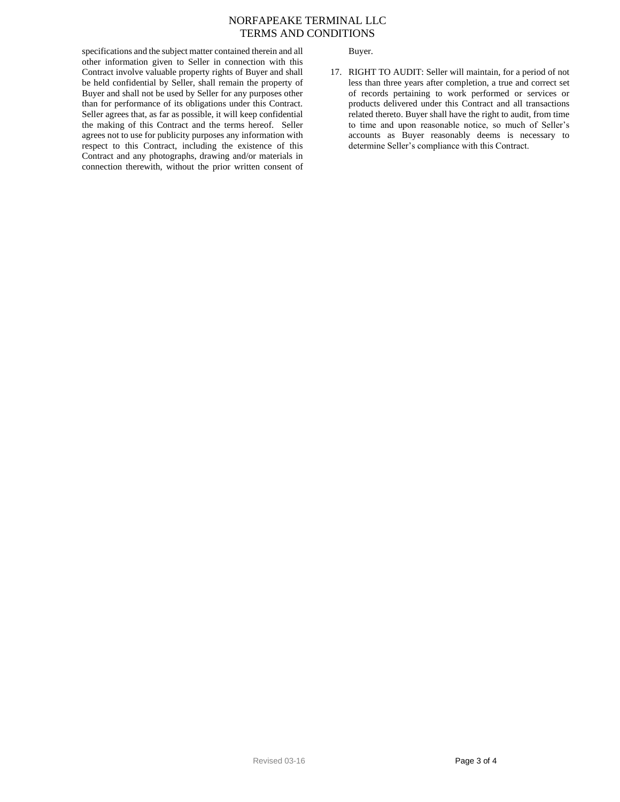Buyer.

specifications and the subject matter contained therein and all other information given to Seller in connection with this Contract involve valuable property rights of Buyer and shall be held confidential by Seller, shall remain the property of Buyer and shall not be used by Seller for any purposes other than for performance of its obligations under this Contract. Seller agrees that, as far as possible, it will keep confidential the making of this Contract and the terms hereof. Seller agrees not to use for publicity purposes any information with respect to this Contract, including the existence of this Contract and any photographs, drawing and/or materials in connection therewith, without the prior written consent of

17. RIGHT TO AUDIT: Seller will maintain, for a period of not less than three years after completion, a true and correct set of records pertaining to work performed or services or products delivered under this Contract and all transactions related thereto. Buyer shall have the right to audit, from time to time and upon reasonable notice, so much of Seller's accounts as Buyer reasonably deems is necessary to determine Seller's compliance with this Contract.